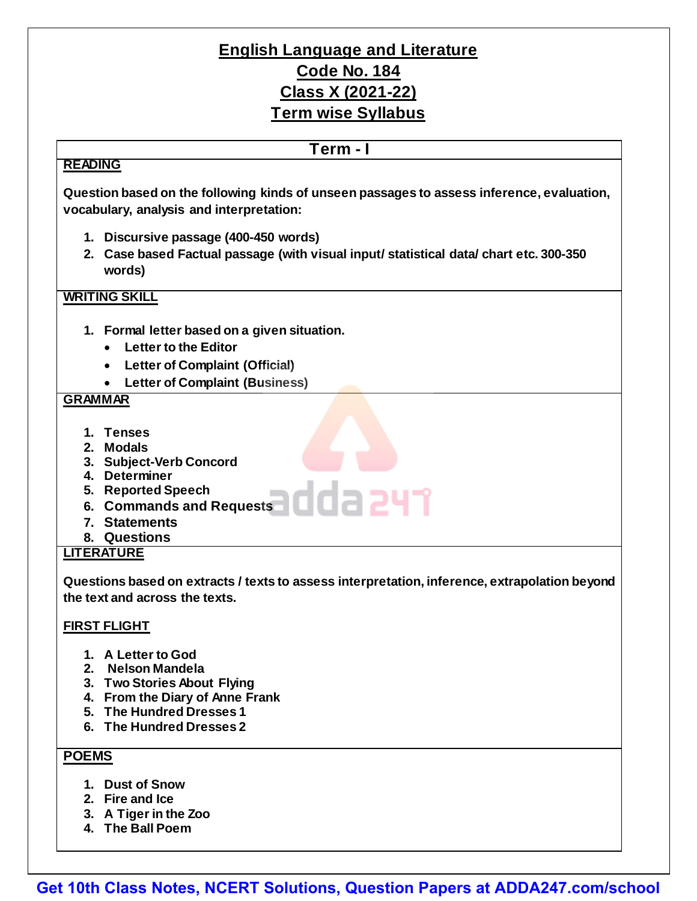# **English Language and Literature Code No. 184 Class X (2021-22) Term wise Syllabus**

## **READING**

### **Term - I**

**Question based on the following kinds of unseen passages to assess inference, evaluation, vocabulary, analysis and interpretation:**

- **1. Discursive passage (400-450 words)**
- **2. Case based Factual passage (with visual input/ statistical data/ chart etc. 300-350 words)**

### **WRITING SKILL**

- **1. Formal letter based on a given situation.**
	- **Letter to the Editor**
	- **Letter of Complaint (Official)**
	- **Letter of Complaint (Business)**

### **GRAMMAR**

- **1. Tenses**
- **2. Modals**
- **3. Subject-Verb Concord**
- **4. Determiner**
- **5. Reported Speech**
- **6. Commands and Requests**
- **7. Statements**
- **8. Questions**

### **LITERATURE**

**Questions based on extracts / texts to assess interpretation, inference, extrapolation beyond the text and across the texts.**

### **FIRST FLIGHT**

- **1. A Letter to God**
- **2. Nelson Mandela**
- **3. Two Stories About Flying**
- **4. From the Diary of Anne Frank**
- **5. The Hundred Dresses 1**
- **6. The Hundred Dresses 2**

### **POEMS**

- **1. Dust of Snow**
- **2. Fire and Ice**
- **3. A Tiger in the Zoo**
- **4. The Ball Poem**

**[Get 10th Class Notes, NCERT Solutions, Question Papers at ADDA247.com/school](https://rebrand.ly/syllabus-pdf)**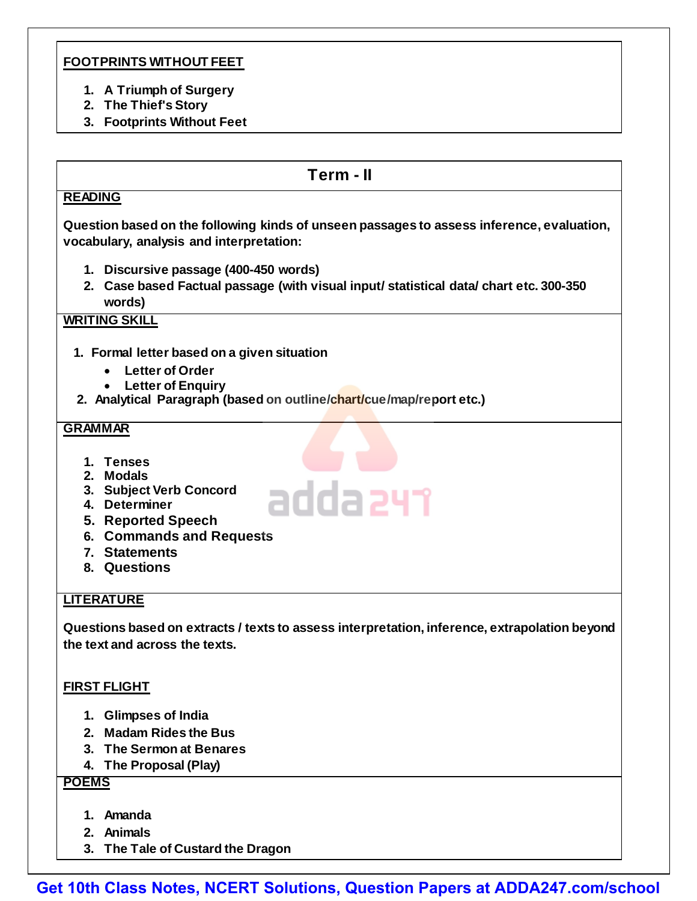### **FOOTPRINTS WITHOUT FEET**

- **1. A Triumph of Surgery**
- **2. The Thief's Story**
- **3. Footprints Without Feet**

### **Term - II**

#### **READING**

**Question based on the following kinds of unseen passages to assess inference, evaluation, vocabulary, analysis and interpretation:**

- **1. Discursive passage (400-450 words)**
- **2. Case based Factual passage (with visual input/ statistical data/ chart etc. 300-350 words)**

### **WRITING SKILL**

- **1. Formal letter based on a given situation**
	- **Letter of Order**
	- **Letter of Enquiry**
- **2. Analytical Paragraph (based on outline/chart/cue/map/report etc.)**

#### **GRAMMAR**

- **1. Tenses**
- **2. Modals**
- **3. Subject Verb Concord**
- **4. Determiner**
- **5. Reported Speech**
- **6. Commands and Requests**
- **7. Statements**
- **8. Questions**

### **LITERATURE**

**Questions based on extracts / texts to assess interpretation, inference, extrapolation beyond the text and across the texts.**

adda 241

### **FIRST FLIGHT**

- **1. Glimpses of India**
- **2. Madam Rides the Bus**
- **3. The Sermon at Benares**
- **4. The Proposal (Play)**

### **POEMS**

- **1. Amanda**
- **2. Animals**
- **3. The Tale of Custard the Dragon**

**[Get 10th Class Notes, NCERT Solutions, Question Papers at ADDA247.com/school](https://rebrand.ly/syllabus-pdf)**